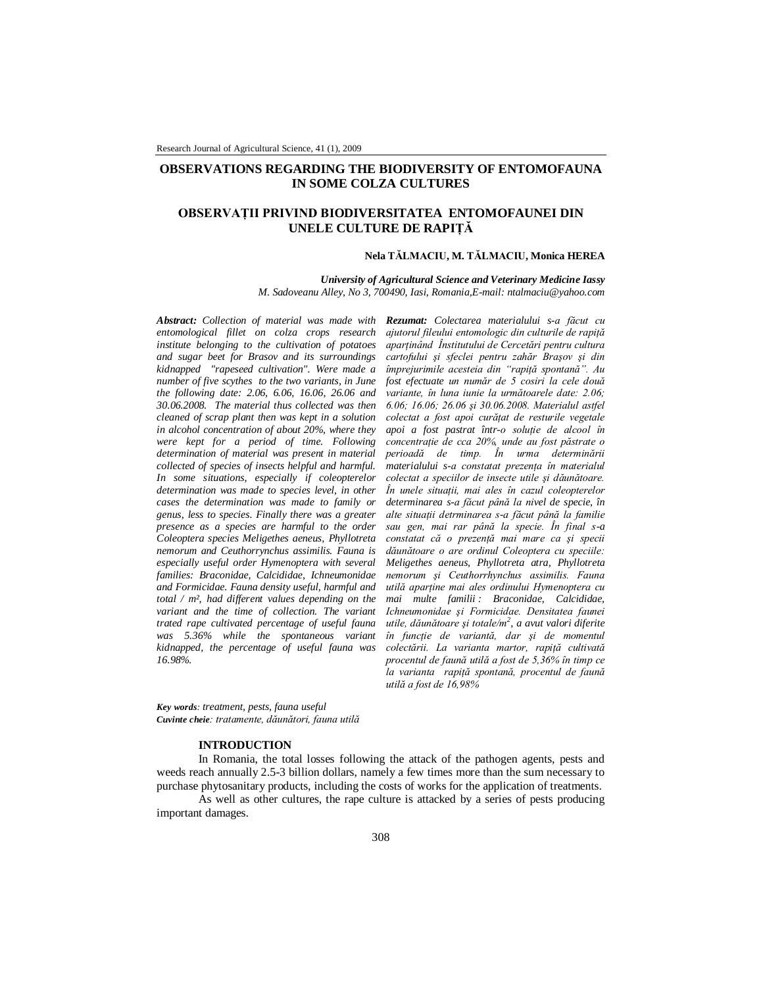# **OBSERVATIONS REGARDING THE BIODIVERSITY OF ENTOMOFAUNA IN SOME COLZA CULTURES**

# **OBSERVAŢII PRIVIND BIODIVERSITATEA ENTOMOFAUNEI DIN UNELE CULTURE DE RAPIŢĂ**

### **Nela TĂLMACIU, M. TĂLMACIU, Monica HEREA**

*University of Agricultural Science and Veterinary Medicine Iassy M. Sadoveanu Alley, No 3, 700490, Iasi, Romania,E-mail: ntalmaciu@yahoo.com*

*Abstract: Collection of material was made with Rezumat: Colectarea materialului s-a făcut cu entomological fillet on colza crops research institute belonging to the cultivation of potatoes and sugar beet for Brasov and its surroundings kidnapped "rapeseed cultivation". Were made a number of five scythes to the two variants, in June the following date: 2.06, 6.06, 16.06, 26.06 and 30.06.2008. The material thus collected was then cleaned of scrap plant then was kept in a solution in alcohol concentration of about 20%, where they were kept for a period of time. Following determination of material was present in material collected of species of insects helpful and harmful. In some situations, especially if coleopterelor determination was made to species level, in other cases the determination was made to family or genus, less to species. Finally there was a greater presence as a species are harmful to the order Coleoptera species Meligethes aeneus, Phyllotreta nemorum and Ceuthorrynchus assimilis. Fauna is especially useful order Hymenoptera with several families: Braconidae, Calcididae, Ichneumonidae and Formicidae. Fauna density useful, harmful and total / m², had different values depending on the variant and the time of collection. The variant trated rape cultivated percentage of useful fauna was 5.36% while the spontaneous variant kidnapped, the percentage of useful fauna was 16.98%.* 

*ajutorul fileului entomologic din culturile de rapiţă aparţinând Înstitutului de Cercetări pentru cultura cartofului şi sfeclei pentru zahăr Braşov şi din împrejurimile acesteia din "rapiţă spontană". Au fost efectuate un număr de 5 cosiri la cele două variante, în luna iunie la următoarele date: 2.06; 6.06; 16.06; 26.06 şi 30.06.2008. Materialul astfel colectat a fost apoi curăţat de resturile vegetale apoi a fost pastrat într-o soluţie de alcool în concentraţie de cca 20%, unde au fost păstrate o perioadă de timp. În urma determinării materialului s-a constatat prezenţa în materialul colectat a speciilor de insecte utile şi dăunătoare. În unele situaţii, mai ales în cazul coleopterelor determinarea s-a făcut până la nivel de specie, în alte situaţii detrminarea s-a făcut până la familie sau gen, mai rar până la specie. În final s-a constatat că o prezenţă mai mare ca şi specii dăunătoare o are ordinul Coleoptera cu speciile: Meligethes aeneus, Phyllotreta atra, Phyllotreta nemorum şi Ceuthorrhynchus assimilis. Fauna utilă aparţine mai ales ordinului Hymenoptera cu mai multe familii : Braconidae, Calcididae, Ichneumonidae şi Formicidae. Densitatea faunei utile, dăunătoare şi totale/m<sup>2</sup> , a avut valori diferite în funcţie de variantă, dar şi de momentul colectării. La varianta martor, rapiţă cultivată procentul de faună utilă a fost de 5,36% în timp ce la varianta rapiţă spontană, procentul de faună utilă a fost de 16,98%*

*Key words: treatment, pests, fauna useful Cuvinte cheie: tratamente, dăunători, fauna utilă*

### **INTRODUCTION**

In Romania, the total losses following the attack of the pathogen agents, pests and weeds reach annually 2.5-3 billion dollars, namely a few times more than the sum necessary to purchase phytosanitary products, including the costs of works for the application of treatments.

As well as other cultures, the rape culture is attacked by a series of pests producing important damages.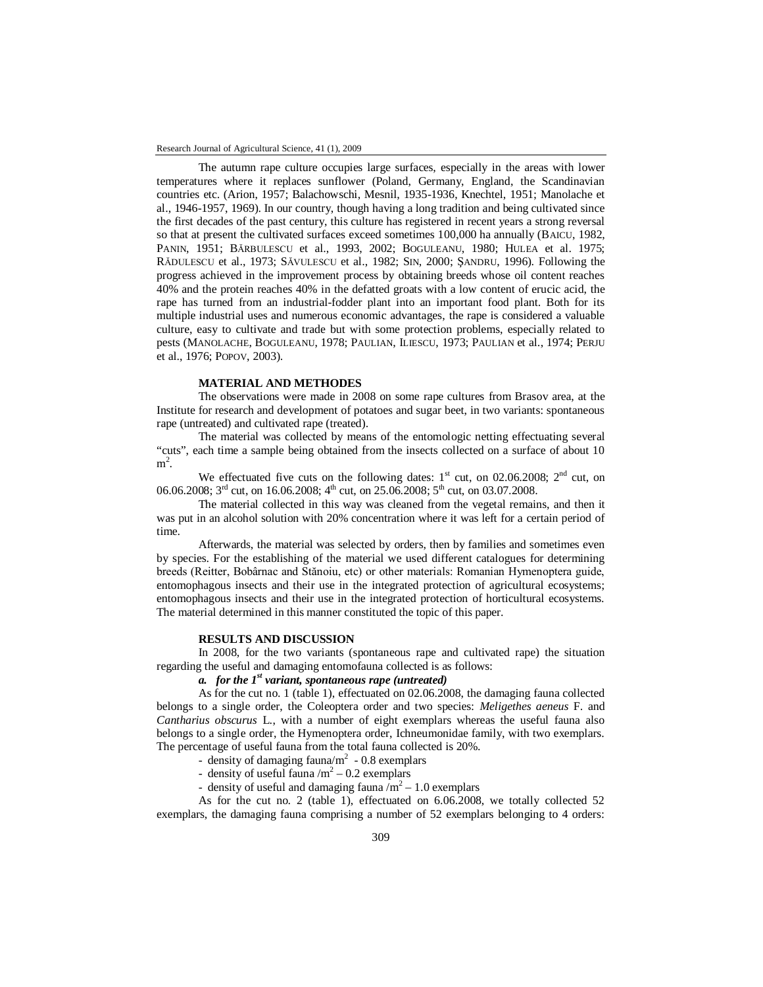The autumn rape culture occupies large surfaces, especially in the areas with lower temperatures where it replaces sunflower (Poland, Germany, England, the Scandinavian countries etc. (Arion, 1957; Balachowschi, Mesnil, 1935-1936, Knechtel, 1951; Manolache et al., 1946-1957, 1969). In our country, though having a long tradition and being cultivated since the first decades of the past century, this culture has registered in recent years a strong reversal so that at present the cultivated surfaces exceed sometimes 100,000 ha annually (BAICU, 1982, PANIN, 1951; BĂRBULESCU et al., 1993, 2002; BOGULEANU, 1980; HULEA et al. 1975; RĂDULESCU et al., 1973; SĂVULESCU et al., 1982; SIN, 2000; ŞANDRU, 1996). Following the progress achieved in the improvement process by obtaining breeds whose oil content reaches 40% and the protein reaches 40% in the defatted groats with a low content of erucic acid, the rape has turned from an industrial-fodder plant into an important food plant. Both for its multiple industrial uses and numerous economic advantages, the rape is considered a valuable culture, easy to cultivate and trade but with some protection problems, especially related to pests (MANOLACHE, BOGULEANU, 1978; PAULIAN, ILIESCU, 1973; PAULIAN et al., 1974; PERJU et al., 1976; POPOV, 2003).

## **MATERIAL AND METHODES**

The observations were made in 2008 on some rape cultures from Brasov area, at the Institute for research and development of potatoes and sugar beet, in two variants: spontaneous rape (untreated) and cultivated rape (treated).

The material was collected by means of the entomologic netting effectuating several "cuts", each time a sample being obtained from the insects collected on a surface of about 10  $m^2$ .

We effectuated five cuts on the following dates:  $1<sup>st</sup>$  cut, on 02.06.2008;  $2<sup>nd</sup>$  cut, on 06.06.2008;  $3^{\text{rd}}$  cut, on 16.06.2008;  $4^{\text{th}}$  cut, on 25.06.2008;  $5^{\text{th}}$  cut, on 03.07.2008.

The material collected in this way was cleaned from the vegetal remains, and then it was put in an alcohol solution with 20% concentration where it was left for a certain period of time.

Afterwards, the material was selected by orders, then by families and sometimes even by species. For the establishing of the material we used different catalogues for determining breeds (Reitter, Bobârnac and Stănoiu, etc) or other materials: Romanian Hymenoptera guide, entomophagous insects and their use in the integrated protection of agricultural ecosystems; entomophagous insects and their use in the integrated protection of horticultural ecosystems. The material determined in this manner constituted the topic of this paper.

### **RESULTS AND DISCUSSION**

In 2008, for the two variants (spontaneous rape and cultivated rape) the situation regarding the useful and damaging entomofauna collected is as follows:

## *a. for the 1st variant, spontaneous rape (untreated)*

As for the cut no. 1 (table 1), effectuated on 02.06.2008, the damaging fauna collected belongs to a single order, the Coleoptera order and two species: *Meligethes aeneus* F. and *Cantharius obscurus* L., with a number of eight exemplars whereas the useful fauna also belongs to a single order, the Hymenoptera order, Ichneumonidae family, with two exemplars. The percentage of useful fauna from the total fauna collected is 20%.

- density of damaging fauna/ $m<sup>2</sup>$  - 0.8 exemplars

- density of useful fauna  $/m^2$  – 0.2 exemplars

- density of useful and damaging fauna  $\overline{m^2} - 1.0$  exemplars

As for the cut no. 2 (table 1), effectuated on 6.06.2008, we totally collected 52 exemplars, the damaging fauna comprising a number of 52 exemplars belonging to 4 orders: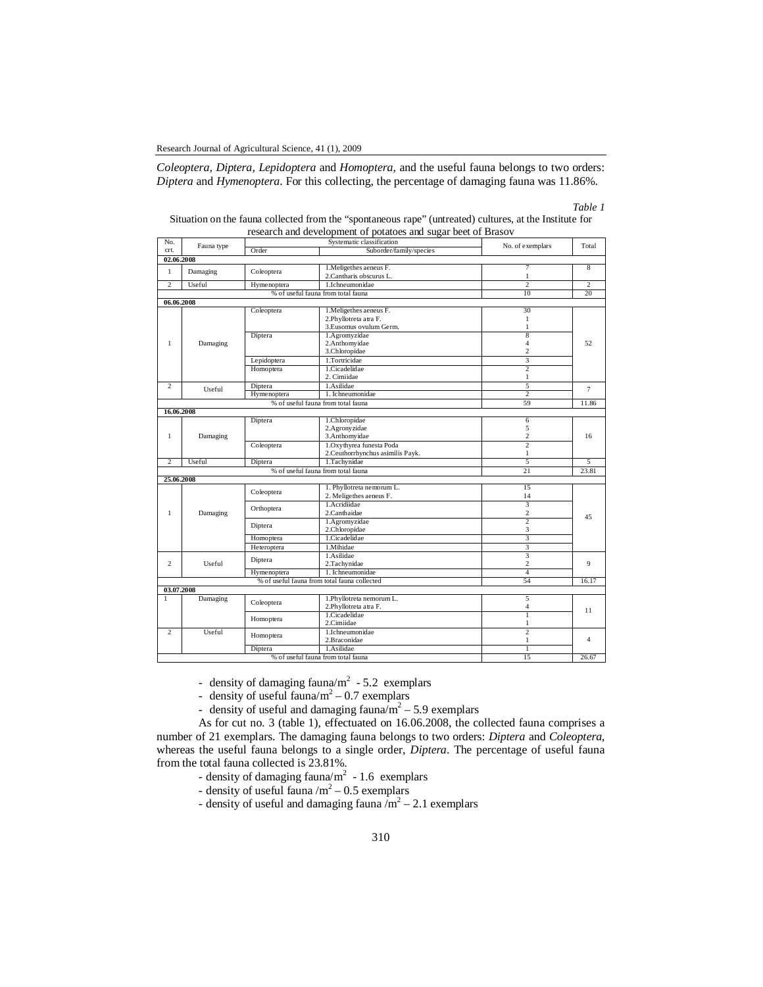*Coleoptera, Diptera, Lepidoptera* and *Homoptera*, and the useful fauna belongs to two orders: *Diptera* and *Hymenoptera*. For this collecting, the percentage of damaging fauna was 11.86%.

### *Table 1*

| Situation on the fauna collected from the "spontaneous rape" (untreated) cultures, at the Institute for |  |  |  |  |
|---------------------------------------------------------------------------------------------------------|--|--|--|--|
| research and development of potatoes and sugar beet of Brasov                                           |  |  |  |  |

| No.            | Fauna type | Systematic classification |                                              | No. of exemplars              | Total          |  |
|----------------|------------|---------------------------|----------------------------------------------|-------------------------------|----------------|--|
| crt.           |            | Order                     | Suborder/family/species                      |                               |                |  |
| 02.06.2008     |            |                           |                                              |                               |                |  |
| $\mathbf{1}$   |            |                           | 1. Meligethes aeneus F.                      | 7                             | 8              |  |
|                | Damaging   | Coleoptera                | 2. Cantharis obscurus L.                     | $\mathbf{1}$                  |                |  |
| 2              | Useful     | Hymenoptera               | 1.Ichneumonidae                              | 2                             | 2              |  |
|                |            |                           | % of useful fauna from total fauna           | 10                            | 20             |  |
| 06.06.2008     |            |                           |                                              |                               |                |  |
|                | Damaging   | Coleoptera                | 1. Meligethes aeneus F.                      | 30                            | 52             |  |
|                |            |                           | 2.Phyllotreta atra F.                        | $\mathbf{1}$                  |                |  |
|                |            |                           | 3.Eusomus ovulum Germ.                       | $\mathbf{1}$                  |                |  |
|                |            | Diptera                   | 1.Agromyzidae                                | 8                             |                |  |
| $\mathbf{1}$   |            |                           | 2.Anthomyidae                                | $\overline{4}$                |                |  |
|                |            |                           |                                              | 3.Chloropidae                 | $\overline{c}$ |  |
|                |            | Lepidoptera               | 1.Tortricidae                                | 3                             |                |  |
|                |            | Homoptera                 | 1.Cicadelidae                                | $\overline{2}$                |                |  |
|                |            |                           | 2. Cimiidae                                  | $\mathbf{1}$                  |                |  |
| $\overline{c}$ |            | Diptera                   | 1.Asilidae                                   | 5                             |                |  |
|                | Useful     | Hymenoptera               | 1. Ichneumonidae                             | 2                             | $\overline{7}$ |  |
|                |            |                           | % of useful fauna from total fauna           | 59                            | 11.86          |  |
| 16.06.2008     |            |                           |                                              |                               |                |  |
|                |            | Diptera                   | 1.Chloropidae                                | 6                             |                |  |
|                |            |                           | 2.Agronyzidae                                | 5                             | 16             |  |
| $\mathbf{1}$   | Damaging   |                           | 3.Anthomyidae                                | $\overline{c}$                |                |  |
|                |            | Coleoptera                | 1.Oxythyrea funesta Poda                     | $\overline{2}$                |                |  |
|                |            |                           | 2. Ceuthorrhynchus asimilis Payk.            | $\mathbf{1}$                  |                |  |
| 2              | Useful     | Diptera                   | 1.Tachynidae                                 | 5                             | 5              |  |
|                |            |                           | % of useful fauna from total fauna           | 21                            | 23.81          |  |
|                |            |                           |                                              |                               |                |  |
|                | 25.06.2008 |                           | 1. Phyllotreta nemorum L.                    | 15                            |                |  |
|                |            | Coleoptera                | 2. Meligethes aeneus F.                      |                               |                |  |
|                |            |                           | 1. Acridiidae                                | 14<br>$\overline{\mathbf{3}}$ |                |  |
|                |            | Orthoptera                |                                              | $\overline{c}$                |                |  |
| $\mathbf{1}$   | Damaging   |                           | 2.Canthaidae                                 |                               | 45             |  |
|                |            | Diptera                   | 1.Agromyzidae                                | $\overline{2}$                |                |  |
|                |            |                           | 2.Chloropidae                                | 3                             |                |  |
|                |            | Homoptera                 | 1.Cicadelidae                                | 3                             |                |  |
|                |            | Heteroptera               | 1.Mihidae                                    | 3                             |                |  |
|                | Useful     | Diptera                   | 1.Asilidae                                   | 3                             |                |  |
| 2              |            |                           | 2.Tachynidae                                 | $\overline{c}$                | 9              |  |
|                |            | Hymenoptera               | 1. Ichneumonidae                             | 4                             |                |  |
|                |            |                           | % of useful fauna from total fauna collected | 54                            | 16.17          |  |
| 03.07.2008     |            |                           |                                              |                               |                |  |
| 1              | Damaging   | Coleoptera                | 1.Phyllotreta nemorum L.                     | 5                             | 11             |  |
|                |            |                           | 2.Phyllotreta atra F.                        | $\overline{4}$                |                |  |
|                |            | Homoptera                 | 1.Cicadelidae                                | 1                             |                |  |
|                |            |                           | 2.Cimiidae                                   | 1                             |                |  |
| 2              | Useful     | Homoptera                 | 1.Ichneumonidae                              | 2                             |                |  |
|                |            |                           | 2.Braconidae                                 | $\mathbf{1}$                  | 4              |  |
|                |            | Diptera                   | 1.Asilidae                                   | $\overline{1}$                |                |  |
|                |            |                           | % of useful fauna from total fauna           | 15                            | 26.67          |  |

- density of damaging fauna/ $m<sup>2</sup>$  - 5.2 exemplars

- density of useful fauna/ $m^2$  – 0.7 exemplars

- density of useful and damaging fauna/ $m^2$  – 5.9 exemplars

As for cut no. 3 (table 1), effectuated on 16.06.2008, the collected fauna comprises a number of 21 exemplars. The damaging fauna belongs to two orders: *Diptera* and *Coleoptera,* whereas the useful fauna belongs to a single order, *Diptera*. The percentage of useful fauna from the total fauna collected is 23.81%.

- density of damaging fauna/ $m<sup>2</sup>$  1.6 exemplars
- density of useful fauna  $/m^2$  0.5 exemplars
- density of useful and damaging fauna  $\overline{m}^2 2.1$  exemplars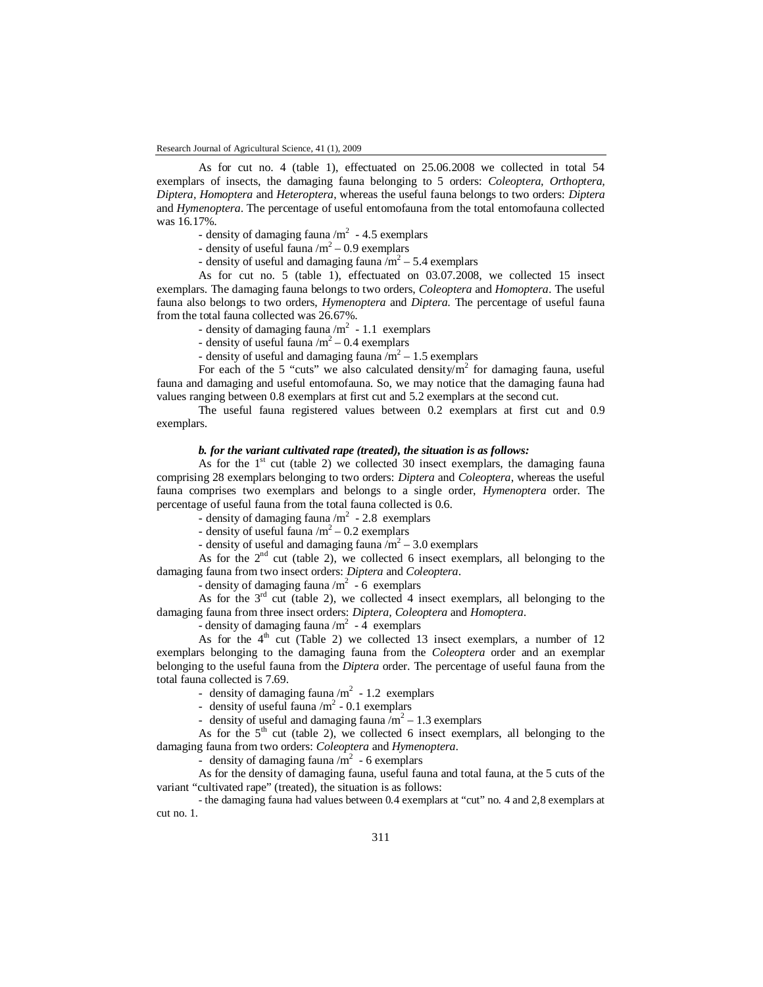As for cut no. 4 (table 1), effectuated on 25.06.2008 we collected in total 54 exemplars of insects, the damaging fauna belonging to 5 orders: *Coleoptera, Orthoptera, Diptera, Homoptera* and *Heteroptera*, whereas the useful fauna belongs to two orders: *Diptera* and *Hymenoptera*. The percentage of useful entomofauna from the total entomofauna collected was 16.17%.

- density of damaging fauna  $/m<sup>2</sup>$  - 4.5 exemplars

- density of useful fauna  $/m^2$  – 0.9 exemplars

- density of useful and damaging fauna  $\overline{m^2}$  – 5.4 exemplars

As for cut no. 5 (table 1), effectuated on 03.07.2008, we collected 15 insect exemplars. The damaging fauna belongs to two orders, *Coleoptera* and *Homoptera*. The useful fauna also belongs to two orders, *Hymenoptera* and *Diptera*. The percentage of useful fauna from the total fauna collected was 26.67%.

- density of damaging fauna  $/m<sup>2</sup>$  - 1.1 exemplars

- density of useful fauna  $/m^2$  – 0.4 exemplars

- density of useful and damaging fauna  $\overline{m}^2 - 1.5$  exemplars

For each of the 5 "cuts" we also calculated density/ $m^2$  for damaging fauna, useful fauna and damaging and useful entomofauna. So, we may notice that the damaging fauna had values ranging between 0.8 exemplars at first cut and 5.2 exemplars at the second cut.

The useful fauna registered values between 0.2 exemplars at first cut and 0.9 exemplars.

### *b. for the variant cultivated rape (treated), the situation is as follows:*

As for the  $1<sup>st</sup>$  cut (table 2) we collected 30 insect exemplars, the damaging fauna comprising 28 exemplars belonging to two orders: *Diptera* and *Coleoptera*, whereas the useful fauna comprises two exemplars and belongs to a single order, *Hymenoptera* order. The percentage of useful fauna from the total fauna collected is 0.6.

- density of damaging fauna /m<sup>2</sup> - 2.8 exemplars

- density of useful fauna  $/m^2$  – 0.2 exemplars

- density of useful and damaging fauna  $\overline{m^2}$  – 3.0 exemplars

As for the  $2<sup>nd</sup>$  cut (table 2), we collected 6 insect exemplars, all belonging to the damaging fauna from two insect orders: *Diptera* and *Coleoptera*.

- density of damaging fauna  $/m^2$  - 6 exemplars

As for the  $3<sup>rd</sup>$  cut (table 2), we collected 4 insect exemplars, all belonging to the damaging fauna from three insect orders: *Diptera, Coleoptera* and *Homoptera*.

- density of damaging fauna  $/m^2$  - 4 exemplars

As for the  $4<sup>th</sup>$  cut (Table 2) we collected 13 insect exemplars, a number of 12 exemplars belonging to the damaging fauna from the *Coleoptera* order and an exemplar belonging to the useful fauna from the *Diptera* order. The percentage of useful fauna from the total fauna collected is 7.69.

- density of damaging fauna  $/m<sup>2</sup>$  - 1.2 exemplars

- density of useful fauna  $/m<sup>2</sup>$  - 0.1 exemplars

- density of useful and damaging fauna  $\sqrt{m^2}$  – 1.3 exemplars

As for the  $5<sup>th</sup>$  cut (table 2), we collected 6 insect exemplars, all belonging to the damaging fauna from two orders: *Coleoptera* and *Hymenoptera*.

- density of damaging fauna  $/m<sup>2</sup>$  - 6 exemplars

As for the density of damaging fauna, useful fauna and total fauna, at the 5 cuts of the variant "cultivated rape" (treated), the situation is as follows:

- the damaging fauna had values between 0.4 exemplars at "cut" no. 4 and 2,8 exemplars at cut no. 1.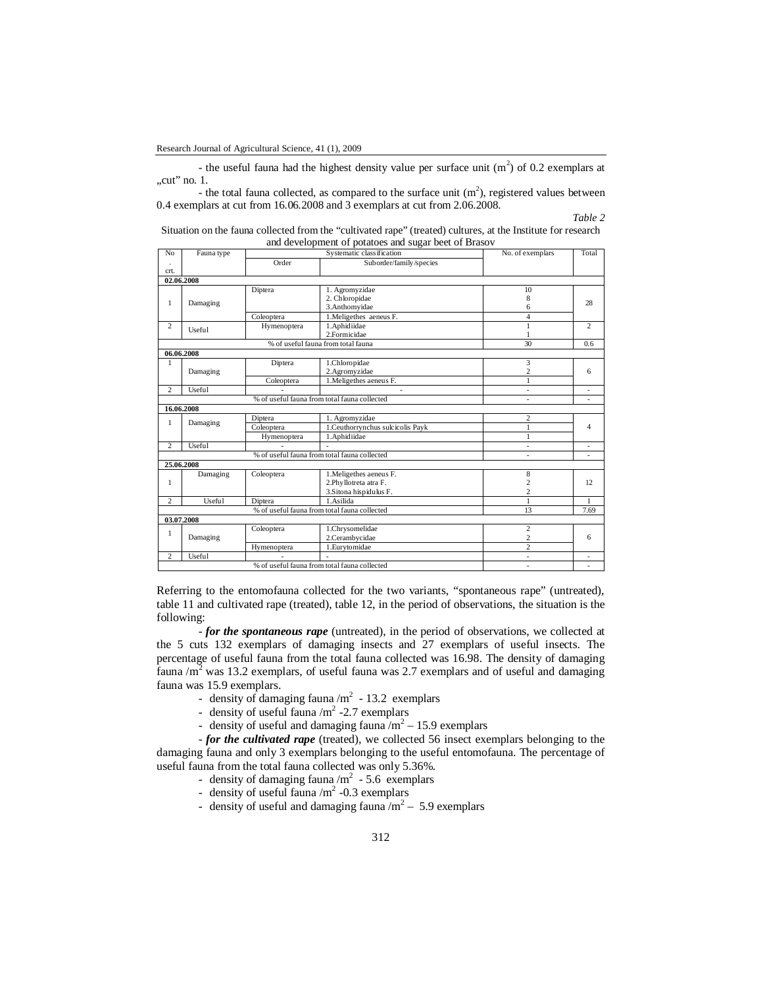- the useful fauna had the highest density value per surface unit  $(m<sup>2</sup>)$  of 0.2 exemplars at  $, cut"$  no. 1.

- the total fauna collected, as compared to the surface unit  $(m^2)$ , registered values between 0.4 exemplars at cut from 16.06.2008 and 3 exemplars at cut from 2.06.2008.

## *Table 2*

| Situation on the fauna collected from the "cultivated rape" (treated) cultures, at the Institute for research |  |  |  |  |  |  |
|---------------------------------------------------------------------------------------------------------------|--|--|--|--|--|--|
| and development of potatoes and sugar beet of Brasov                                                          |  |  |  |  |  |  |

| No             | Fauna type    | Systematic classification |                                                                             | No. of exemplars                                   | Total                   |
|----------------|---------------|---------------------------|-----------------------------------------------------------------------------|----------------------------------------------------|-------------------------|
| crt.           |               | Order                     | Suborder/family/species                                                     |                                                    |                         |
|                | 02.06.2008    |                           |                                                                             |                                                    |                         |
| 1              | Damaging      | Diptera                   | 1. Agromyzidae<br>2. Chloropidae<br>3.Anthomyidae                           | 10<br>8<br>6                                       | 28                      |
|                |               | Coleoptera                | 1. Meligethes aeneus F.                                                     | $\overline{4}$                                     |                         |
| $\overline{c}$ | Useful        | Hymenoptera               | 1.Aphidiidae<br>2.Formicidae                                                | 1<br>1                                             | $\overline{c}$          |
|                |               |                           | % of useful fauna from total fauna                                          | 30                                                 | 0.6                     |
|                | 06.06.2008    |                           |                                                                             |                                                    |                         |
| 1              | Damaging      | Diptera                   | 1.Chloropidae<br>2.Agromyzidae                                              | 3<br>$\overline{c}$                                | 6                       |
|                |               | Coleoptera                | 1. Meligethes aeneus F.                                                     | 1                                                  |                         |
| 2              | Useful        |                           | $\overline{a}$                                                              | $\overline{a}$                                     |                         |
|                |               |                           | % of useful fauna from total fauna collected                                |                                                    |                         |
|                | 16.06.2008    |                           |                                                                             |                                                    |                         |
| $\mathbf{1}$   | Damaging      | Diptera                   | 1. Agromyzidae                                                              | $\overline{c}$                                     |                         |
|                |               | Coleoptera                | 1. Ceuthorrynchus sulcicolis Payk                                           | 1                                                  | $\overline{\mathbf{A}}$ |
|                |               | Hymenoptera               | 1.Aphidiidae                                                                | 1                                                  |                         |
| $\overline{2}$ | Useful        |                           |                                                                             | ٠                                                  | ٠                       |
|                |               |                           | % of useful fauna from total fauna collected                                | ٠                                                  |                         |
|                | 25.06.2008    |                           |                                                                             |                                                    |                         |
| 1              | Damaging      | Coleoptera                | 1. Meligethes aeneus F.<br>2.Phyllotreta atra F.<br>3. Sitona hispidulus F. | 8<br>2<br>$\overline{c}$                           | 12                      |
| $\overline{c}$ | <b>Useful</b> | Diptera                   | 1.Asilida                                                                   | 1                                                  | $\mathbf{1}$            |
|                |               |                           | % of useful fauna from total fauna collected                                | 13                                                 | 7.69                    |
|                | 03.07.2008    |                           |                                                                             |                                                    |                         |
| $\mathbf{1}$   | Damaging      | Coleoptera<br>Hymenoptera | 1.Chrysomelidae<br>2.Cerambycidae<br>1.Eurytomidae                          | $\overline{c}$<br>$\overline{c}$<br>$\overline{2}$ | 6                       |
| $\overline{c}$ | Useful        |                           |                                                                             | ٠                                                  |                         |
|                |               |                           | % of useful fauna from total fauna collected                                | ٠                                                  | ٠                       |
|                |               |                           |                                                                             |                                                    |                         |

Referring to the entomofauna collected for the two variants, "spontaneous rape" (untreated), table 11 and cultivated rape (treated), table 12, in the period of observations, the situation is the following:

- *for the spontaneous rape* (untreated), in the period of observations, we collected at the 5 cuts 132 exemplars of damaging insects and 27 exemplars of useful insects. The percentage of useful fauna from the total fauna collected was 16.98. The density of damaging fauna / $m^2$  was 13.2 exemplars, of useful fauna was 2.7 exemplars and of useful and damaging fauna was 15.9 exemplars.

- density of damaging fauna  $/m<sup>2</sup>$  13.2 exemplars
- density of useful fauna  $/m<sup>2</sup>$  -2.7 exemplars
- density of useful and damaging fauna  $\overline{m}^2 15.9$  exemplars

- *for the cultivated rape* (treated), we collected 56 insect exemplars belonging to the damaging fauna and only 3 exemplars belonging to the useful entomofauna. The percentage of useful fauna from the total fauna collected was only 5.36%.

- density of damaging fauna  $/m^2$  5.6 exemplars
- density of useful fauna  $/m<sup>2</sup>$  -0.3 exemplars
- density of useful and damaging fauna  $/m^2$  5.9 exemplars